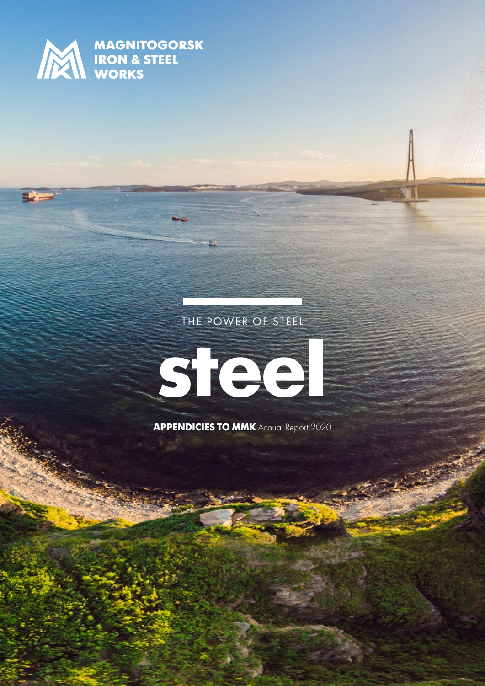

**MAGNITOGORSK**<br> **MAGNITOGORSK**<br>
WORKS

# THE POWER OF STEEL



**APPENDICIES TO MMK** Annual Report 2020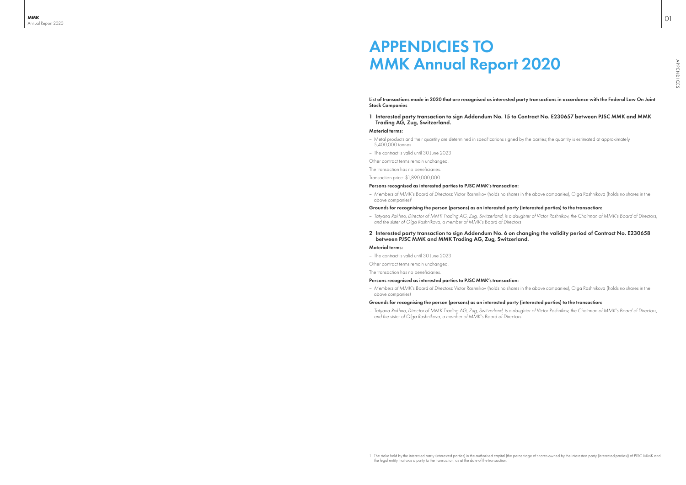List of transactions made in 2020 that are recognised as interested party transactions in accordance with the Federal Law On Joint Stock Companies

#### 1 Interested party transaction to sign Addendum No. 15 to Contract No. E230657 between PJSC MMK and MMK Trading AG, Zug, Switzerland.

#### Material terms:

- Metal products and their quantity are determined in specifications signed by the parties; the quantity is estimated at approximately 5,400,000 tonnes
- The contract is valid until 30 June 2023
- Other contract terms remain unchanged.

The transaction has no beneficiaries.

Transaction price: \$1,890,000,000.

#### Persons recognised as interested parties to PJSC MMK's transaction:

above companies)<sup>1</sup>

– *Members of MMK's Board of Directors:* Victor Rashnikov (holds no shares in the above companies), Olga Rashnikova (holds no shares in the

#### Grounds for recognising the person (persons) as an interested party (interested parties) to the transaction:



– *Tatyana Rakhno, Director of MMK Trading AG, Zug, Switzerland, is a daughter of Victor Rashnikov, the Chairman of MMK's Board of Directors,* 

# 2 Interested party transaction to sign Addendum No. 6 on changing the validity period of Contract No. E230658

- *and the sister of Olga Rashnikova, a member of MMK's Board of Directors*
- between PJSC MMK and MMK Trading AG, Zug, Switzerland. Material terms:
- The contract is valid until 30 June 2023

Other contract terms remain unchanged.

The transaction has no beneficiaries.

### Persons recognised as interested parties to PJSC MMK's transaction:

– *Members of MMK's Board of Directors:* Victor Rashnikov (holds no shares in the above companies), Olga Rashnikova (holds no shares in the above companies)

### Grounds for recognising the person (persons) as an interested party (interested parties) to the transaction:

– *Tatyana Rakhno, Director of MMK Trading AG, Zug, Switzerland, is a daughter of Victor Rashnikov, the Chairman of MMK's Board of Directors,* 

*and the sister of Olga Rashnikova, a member of MMK's Board of Directors*

01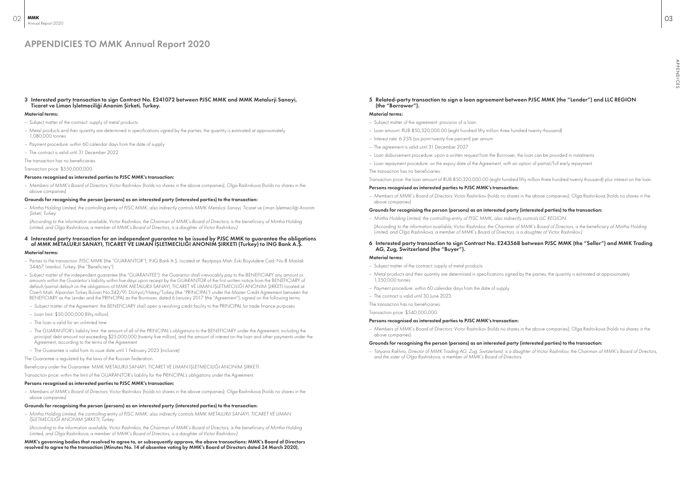#### 3 Interested party transaction to sign Contract No. Е241072 between PJSC MMK and MMK Metalurji Sanayi, Ticaret ve Liman İşletmeciliği Anonim Şirketi, Turkey.

#### Material terms:

- Subject matter of the contract: supply of metal products
- Metal products and their quantity are determined in specifications signed by the parties; the quantity is estimated at approximately 1,080,000 tonnes
- Payment procedure: within 60 calendar days from the date of supply
- The contract is valid until 31 December 2022

The transaction has no beneficiaries.

Transaction price: \$550,000,000.

#### Persons recognised as interested parties to PJSC MMK's transaction:

– *Members of MMK's Board of Directors:* Victor Rashnikov (holds no shares in the above companies), Olga Rashnikova (holds no shares in the above companies)

#### Grounds for recognising the person (persons) as an interested party (interested parties) to the transaction:

– *Mintha Holding Limited, the controlling entity of PJSC MMK, also indirectly controls MMK Metalurji Sanayi, Ticaret ve Liman İşletmeciliği Anonim Şirketi, Turkey*

*(According to the information available, Victor Rashnikov, the Chairman of MMK's Board of Directors, is the beneficiary of Mintha Holding Limited, and Olga Rashnikova, a member of MMK's Board of Directors, is a daughter of Victor Rashnikov.)*

#### 4 Interested party transaction for an independent guarantee to be issued by PJSC MMK to guarantee the obligations of MMK METALURJI SANAYI, TICARET VE LIMAN İŞLETMECILIĞI ANONIM ŞIRKETI (Turkey) to ING Bank A.Ş.

#### Material terms:

- Parties to the transaction: PJSC MMK (the "GUARANTOR"), ING Bank A.Ş. located at: Reşitpaşa Mah. Eski Büyükdere Cad. No.8 Maslak 34467, Istanbul, Turkey, (the "Beneficiary")
- Subject matter of the independent guarantee (the "GUARANTEE"): the Guarantor shall irrevocably pay to the BENEFICIARY any amount or amounts within the Guarantor's liability within five days upon receipt by the GUARANTOR of the first written notice from the BENEFICIARY of default/partial default on the obligations of MMK METALURJI SANAYI, TICARET VE LIMAN İŞLETMECILIĞI ANONIM ŞIRKETI located at Özerli Mah. Alparslan Türkeş Bulvari No:342/91 Dörtyol/Hatay/Turkey (the "PRINCIPAL") under the Master Credit Agreement between the BENEFICIARY as the Lender and the PRINCIPAL as the Borrower, dated 6 January 2017 (the "Agreement"), signed on the following terms:
- Subject matter of the Agreement: the BENEFICIARY shall open a revolving credit facility to the PRINCIPAL for trade finance purposes
- Loan limit: \$50,000,000 (fifty million)
- The loan is valid for an unlimited time
- The GUARANTOR's liability limit: the amount of all of the PRINCIPAL's obligations to the BENEFICIARY under the Agreement, including the principal debt amount not exceeding \$25,000,000 (twenty-five million), and the amount of interest on the loan and other payments under the Agreement, according to the terms of the Agreement
- The Guarantee is valid from its issue date until 1 February 2023 (inclusive)

The Guarantee is regulated by the laws of the Russian Federation.

Beneficiary under the Guarantee: MMK METALURJI SANAYI, TICARET VE LIMAN İŞLETMECILIĞI ANONIM ŞIRKETI.

Transaction price: within the limit of the GUARANTOR's liability for the PRINCIPAL's obligations under the Agreement.

#### Persons recognised as interested parties to PJSC MMK's transaction:

– *Members of MMK's Board of Directors:* Victor Rashnikov (holds no shares in the above companies), Olga Rashnikova (holds no shares in the above companies)

#### Grounds for recognising the person (persons) as an interested party (interested parties) to the transaction:

– *Mintha Holding Limited, the controlling entity of PJSC MMK, also indirectly controls MMK METALURJI SANAYI, TICARET VE LIMAN İŞLETMECILIĞI ANONIM ŞIRKETI, Turkey*

*(According to the information available, Victor Rashnikov, the Chairman of MMK's Board of Directors, is the beneficiary of Mintha Holding Limited, and Olga Rashnikova, a member of MMK's Board of Directors, is a daughter of Victor Rashnikov.)*

MMK's governing bodies that resolved to agree to, or subsequently approve, the above transactions: MMK's Board of Directors resolved to agree to the transaction (Minutes No. 14 of absentee voting by MMK's Board of Directors dated 24 March 2020).

5 Related-party transaction to sign a loan agreement between PJSC MMK (the "Lender") and LLC REGION (the "Borrower").

#### Material terms:

- Subject matter of the agreement: provision of a loan
- Loan amount: RUB 850,320,000.00 (eight hundred fifty million three hundred twenty thousand)
- Interest rate: 6.25% (six point twenty-five percent) per annum
- The agreement is valid until 31 December 2027
- Loan disbursement procedure: upon a written request from the Borrower, the loan can be provided in instalments
- Loan repayment procedure: on the expiry date of the Agreement, with an option of partial/full early repayment
- The transaction has no beneficiaries.

Transaction price: the loan amount of RUB 850,320,000.00 (eight hundred fifty million three hundred twenty thousand) plus interest on the loan. Persons recognised as interested parties to PJSC MMK's transaction:

– *Members of MMK's Board of Directors:* Victor Rashnikov (holds no shares in the above companies), Olga Rashnikova (holds no shares in the above companies)

### Grounds for recognising the person (persons) as an interested party (interested parties) to the transaction:

– *Mintha Holding Limited, the controlling entity of PJSC MMK, also indirectly controls LLC REGION (According to the information available, Victor Rashnikov, the Chairman of MMK's Board of Directors, is the beneficiary of Mintha Holding Limited, and Olga Rashnikova, a member of MMK's Board of Directors, is a daughter of Victor Rashnikov.)*

#### 6 Interested party transaction to sign Contract No. Е243568 between PJSC MMK (the "Seller") and MMK Trading AG, Zug, Switzerland (the "Buyer").

#### Material terms:

- Subject matter of the contract: supply of metal products
- Metal products and their quantity are determined in specifications signed by the parties; the quantity is estimated at approximately 1,350,000 tonnes
- Payment procedure: within 60 calendar days from the date of supply
- The contract is valid until 30 June 2023
- The transaction has no beneficiaries.

Transaction price: \$540,000,000.

#### Persons recognised as interested parties to PJSC MMK's transaction:

– *Members of MMK's Board of Directors:* Victor Rashnikov (holds no shares in the above companies), Olga Rashnikova (holds no shares in the above companies).

### Grounds for recognising the person (persons) as an interested party (interested parties) to the transaction:

– *Tatyana Rakhno, Director of MMK Trading AG, Zug, Switzerland, is a daughter of Victor Rashnikov, the Chairman of MMK's Board of Directors,* 

*and the sister of Olga Rashnikova, a member of MMK's Board of Directors.*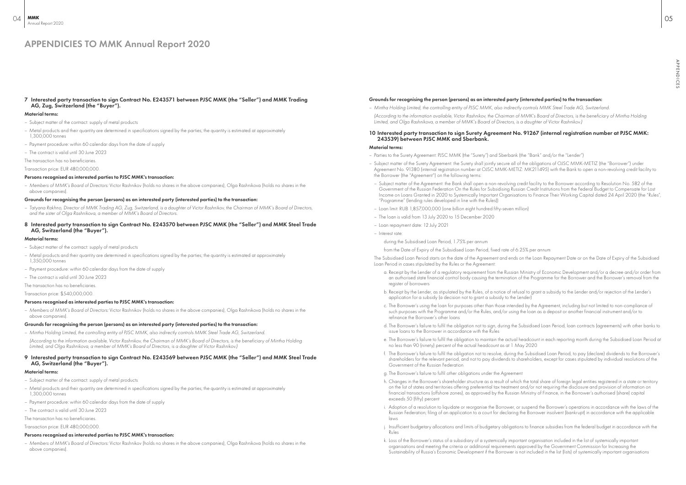#### 7 Interested party transaction to sign Contract No. Е243571 between PJSC MMK (the "Seller") and MMK Trading AG, Zug, Switzerland (the "Buyer").

#### Material terms:

- Subject matter of the contract: supply of metal products
- Metal products and their quantity are determined in specifications signed by the parties; the quantity is estimated at approximately 1,300,000 tonnes
- Payment procedure: within 60 calendar days from the date of supply
- The contract is valid until 30 June 2023

The transaction has no beneficiaries.

Transaction price: EUR 480,000,000.

#### Persons recognised as interested parties to PJSC MMK's transaction:

– *Members of MMK's Board of Directors:* Victor Rashnikov (holds no shares in the above companies), Olga Rashnikova (holds no shares in the above companies).

#### Grounds for recognising the person (persons) as an interested party (interested parties) to the transaction:

- *Tatyana Rakhno, Director of MMK Trading AG, Zug, Switzerland, is a daughter of Victor Rashnikov, the Chairman of MMK's Board of Directors, and the sister of Olga Rashnikova, a member of MMK's Board of Directors.*
- 8 Interested party transaction to sign Contract No. E243570 between PJSC MMK (the "Seller") and MMK Steel Trade AG, Switzerland (the "Buyer").

#### Material terms:

- Subject matter of the contract: supply of metal products
- Metal products and their quantity are determined in specifications signed by the parties; the quantity is estimated at approximately 1,350,000 tonnes
- Payment procedure: within 60 calendar days from the date of supply
- The contract is valid until 30 June 2023

The transaction has no beneficiaries.

Transaction price: \$540,000,000.

#### Persons recognised as interested parties to PJSC MMK's transaction:

– *Members of MMK's Board of Directors:* Victor Rashnikov (holds no shares in the above companies), Olga Rashnikova (holds no shares in the above companies).

#### Grounds for recognising the person (persons) as an interested party (interested parties) to the transaction:

- *Mintha Holding Limited, the controlling entity of PJSC MMK, also indirectly controls ММК Steel Trade AG, Switzerland.*
- *(According to the information available, Victor Rashnikov, the Chairman of MMK's Board of Directors, is the beneficiary of Mintha Holding Limited, and Olga Rashnikova, a member of MMK's Board of Directors, is a daughter of Victor Rashnikov.)*

#### 9 Interested party transaction to sign Contract No. Е243569 between PJSC MMK (the "Seller") and ММК Steel Trade AG, Switzerland (the "Buyer").

#### Material terms:

- Subject matter of the contract: supply of metal products
- Metal products and their quantity are determined in specifications signed by the parties; the quantity is estimated at approximately 1,300,000 tonnes
- Payment procedure: within 60 calendar days from the date of supply
- The contract is valid until 30 June 2023

The transaction has no beneficiaries.

Transaction price: EUR 480,000,000.

#### Persons recognised as interested parties to PJSC MMK's transaction:

– *Members of MMK's Board of Directors:* Victor Rashnikov (holds no shares in the above companies), Olga Rashnikova (holds no shares in the above companies).

#### Grounds for recognising the person (persons) as an interested party (interested parties) to the transaction:

– *Mintha Holding Limited, the controlling entity of PJSC MMK, also indirectly controls ММК Steel Trade AG, Switzerland. (According to the information available, Victor Rashnikov, the Chairman of MMK's Board of Directors, is the beneficiary of Mintha Holding Limited, and Olga Rashnikova, a member of MMK's Board of Directors, is a daughter of Victor Rashnikov.)*

### 10 Interested party transaction to sign Surety Agreement No. 91267 (internal registration number at PJSC MMK: 243539) between PJSC MMK and Sberbank.

#### Material terms:

- Parties to the Surety Agreement: PJSC MMK (the "Surety") and Sberbank (the "Bank" and/or the "Lender")
- Subject matter of the Surety Agreement: the Surety shall jointly secure all of the obligations of OJSC MMK-METIZ (the "Borrower") under Agreement No. 91380 (internal registration number at OJSC MMK-METIZ: MK211495) with the Bank to open a non-revolving credit facility to the Borrower (the "Agreement") on the following terms:
- Subject matter of the Agreement: the Bank shall open a non-revolving credit facility to the Borrower according to Resolution No. 582 of the Government of the Russian Federation On the Rules for Subsidising Russian Credit Institutions from the Federal Budget to Compensate for Lost Income on Loans Granted in 2020 to Systemically Important Organisations to Finance Their Working Capital dated 24 April 2020 (the "Rules", "Programme" (lending rules developed in line with the Rules))
- Loan limit: RUB 1,857,000,000 (one billion eight hundred fifty-seven million)
- The loan is valid from 13 July 2020 to 15 December 2020
- Loan repayment date: 12 July 2021
- Interest rate:
	- during the Subsidised Loan Period, 1.75% per annum

from the Date of Expiry of the Subsidised Loan Period, fixed rate of 6.25% per annum The Subsidised Loan Period starts on the date of the Agreement and ends on the Loan Repayment Date or on the Date of Expiry of the Subsidised Loan Period in cases stipulated by the Rules or the Agreement:

a. Receipt by the Lender of a regulatory requirement from the Russian Ministry of Economic Development and/or a decree and/or order from an authorised state financial control body causing the termination of the Programme for the Borrower and the Borrower's removal from the

c. The Borrower's using the loan for purposes other than those intended by the Agreement, including but not limited to non-compliance of

d. The Borrower's failure to fulfil the obligation not to sign, during the Subsidised Loan Period, loan contracts (agreements) with other banks to

e. The Borrower's failure to fulfil the obligation to maintain the actual headcount in each reporting month during the Subsidised Loan Period at

f. The Borrower's failure to fulfil the obligation not to resolve, during the Subsidised Loan Period, to pay (declare) dividends to the Borrower's shareholders for the relevant period, and not to pay dividends to shareholders, except for cases stipulated by individual resolutions of the

- register of borrowers
- b. Receipt by the Lender, as stipulated by the Rules, of a notice of refusal to grant a subsidy to the Lender and/or rejection of the Lender's application for a subsidy (a decision not to grant a subsidy to the Lender)
- such purposes with the Programme and/or the Rules, and/or using the loan as a deposit or another financial instrument and/or to refinance the Borrower's other loans
- issue loans to the Borrower in accordance with the Rules
- no less than 90 (ninety) percent of the actual headcount as at 1 May 2020
- Government of the Russian Federation
- g. The Borrower's failure to fulfil other obligations under the Agreement
- financial transactions (offshore zones), as approved by the Russian Ministry of Finance, in the Borrower's authorised (share) capital exceeds 50 (fifty) percent
- laws
- Rules
- k. Loss of the Borrower's status of a subsidiary of a systemically important organisation included in the list of systemically important organisations and meeting the criteria or additional requirements approved by the Government Commission for Increasing the

h. Changes in the Borrower's shareholder structure as a result of which the total share of foreign legal entities registered in a state or territory on the list of states and territories offering preferential tax treatment and/or not requiring the disclosure and provision of information on

i. Adoption of a resolution to liquidate or reorganise the Borrower, or suspend the Borrower's operations in accordance with the laws of the Russian Federation; filing of an application to a court for declaring the Borrower insolvent (bankrupt) in accordance with the applicable

j. Insufficient budgetary allocations and limits of budgetary obligations to finance subsidies from the federal budget in accordance with the

Sustainability of Russia's Economic Development if the Borrower is not included in the list (lists) of systemically important organisations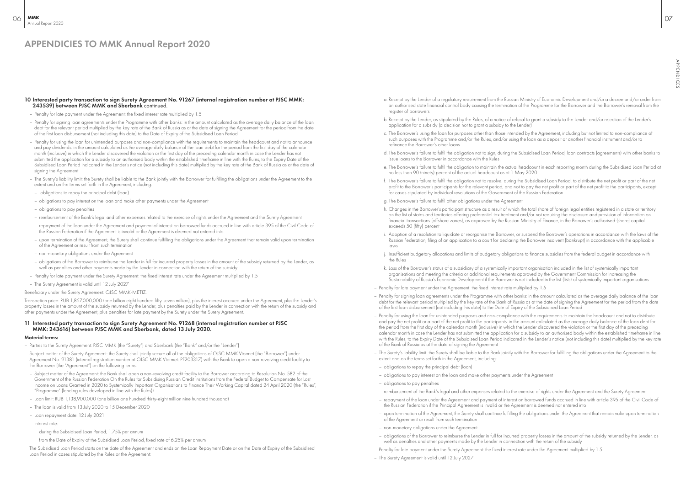#### 10 Interested party transaction to sign Surety Agreement No. 91267 (internal registration number at PJSC MMK: 243539) between PJSC MMK and Sberbank continued.

- Penalty for late payment under the Agreement: the fixed interest rate multiplied by 1.5
- Penalty for signing loan agreements under the Programme with other banks: in the amount calculated as the average daily balance of the loan debt for the relevant period multiplied by the key rate of the Bank of Russia as at the date of signing the Agreement for the period from the date of the first loan disbursement (not including this date) to the Date of Expiry of the Subsidised Loan Period
- Penalty for using the loan for unintended purposes and non-compliance with the requirements to maintain the headcount and not to announce and pay dividends: in the amount calculated as the average daily balance of the loan debt for the period from the first day of the calendar month (inclusive) in which the Lender discovered the violation or the first day of the preceding calendar month in case the Lender has not submitted the application for a subsidy to an authorised body within the established timeframe in line with the Rules, to the Expiry Date of the Subsidised Loan Period indicated in the Lender's notice (not including this date) multiplied by the key rate of the Bank of Russia as at the date of signing the Agreement
- The Surety's liability limit: the Surety shall be liable to the Bank jointly with the Borrower for fulfilling the obligations under the Agreement to the extent and on the terms set forth in the Agreement, including:
- obligations to repay the principal debt (loan)
- obligations to pay interest on the loan and make other payments under the Agreement
- obligations to pay penalties
- reimbursement of the Bank's legal and other expenses related to the exercise of rights under the Agreement and the Surety Agreement
- repayment of the loan under the Agreement and payment of interest on borrowed funds accrued in line with article 395 of the Civil Code of the Russian Federation if the Agreement is invalid or the Agreement is deemed not entered into
- upon termination of the Agreement, the Surety shall continue fulfilling the obligations under the Agreement that remain valid upon termination of the Agreement or result from such termination
- non-monetary obligations under the Agreement
- obligations of the Borrower to reimburse the Lender in full for incurred property losses in the amount of the subsidy returned by the Lender, as well as penalties and other payments made by the Lender in connection with the return of the subsidy
- Penalty for late payment under the Surety Agreement: the fixed interest rate under the Agreement multiplied by 1.5
- The Surety Agreement is valid until 12 July 2027

#### Beneficiary under the Surety Agreement: OJSC MMK-METIZ.

Transaction price: RUB 1,857,000,000 (one billion eight hundred fifty-seven million), plus the interest accrued under the Agreement, plus the Lender's property losses in the amount of the subsidy returned by the Lender, plus penalties paid by the Lender in connection with the return of the subsidy and other payments under the Agreement, plus penalties for late payment by the Surety under the Surety Agreement.

#### 11 Interested party transaction to sign Surety Agreement No. 91268 (internal registration number at PJSC MMK: 243616) between PJSC MMK and Sberbank, dated 13 July 2020.

#### Material terms:

- Parties to the Surety Agreement: PJSC MMK (the "Surety") and Sberbank (the "Bank" and/or the "Lender")
- Subject matter of the Surety Agreement: the Surety shall jointly secure all of the obligations of OJSC MMK Vtormet (the "Borrower") under Agreement No. 91381 (internal registration number at OJSC MMK Vtormet: PF203317) with the Bank to open a non-revolving credit facility to the Borrower (the "Agreement") on the following terms:
- Subject matter of the Agreement: the Bank shall open a non-revolving credit facility to the Borrower according to Resolution No. 582 of the Government of the Russian Federation On the Rules for Subsidising Russian Credit Institutions from the Federal Budget to Compensate for Lost Income on Loans Granted in 2020 to Systemically Important Organisations to Finance Their Working Capital dated 24 April 2020 (the "Rules", "Programme" (lending rules developed in line with the Rules))
- Loan limit: RUB 1,138,900,000 (one billion one hundred thirty-eight million nine hundred thousand)
- The loan is valid from 13 July 2020 to 15 December 2020
- Loan repayment date: 12 July 2021
- Interest rate:
	- during the Subsidised Loan Period, 1.75% per annum

from the Date of Expiry of the Subsidised Loan Period, fixed rate of 6.25% per annum

The Subsidised Loan Period starts on the date of the Agreement and ends on the Loan Repayment Date or on the Date of Expiry of the Subsidised Loan Period in cases stipulated by the Rules or the Agreement:

- a. Receipt by the Lender of a regulatory requirement from the Russian Ministry of Economic Development and/or a decree and/or order from an authorised state financial control body causing the termination of the Programme for the Borrower and the Borrower's removal from the register of borrowers
- b. Receipt by the Lender, as stipulated by the Rules, of a notice of refusal to grant a subsidy to the Lender and/or rejection of the Lender's application for a subsidy (a decision not to grant a subsidy to the Lender)
- c. The Borrower's using the loan for purposes other than those intended by the Agreement, including but not limited to non-compliance of such purposes with the Programme and/or the Rules, and/or using the loan as a deposit or another financial instrument and/or to refinance the Borrower's other loans
- d. The Borrower's failure to fulfil the obligation not to sign, during the Subsidised Loan Period, loan contracts (agreements) with other banks to issue loans to the Borrower in accordance with the Rules
- e. The Borrower's failure to fulfil the obligation to maintain the actual headcount in each reporting month during the Subsidised Loan Period at no less than 90 (ninety) percent of the actual headcount as at 1 May 2020
- f. The Borrower's failure to fulfil the obligation not to resolve, during the Subsidised Loan Period, to distribute the net profit or part of the net profit to the Borrower's participants for the relevant period, and not to pay the net profit or part of the net profit to the participants, except for cases stipulated by individual resolutions of the Government of the Russian Federation
- g. The Borrower's failure to fulfil other obligations under the Agreement
- h. Changes in the Borrower's participant structure as a result of which the total share of foreign legal entities registered in a state or territory on the list of states and territories offering preferential tax treatment and/or not requiring the disclosure and provision of information on financial transactions (offshore zones), as approved by the Russian Ministry of Finance, in the Borrower's authorised (share) capital exceeds 50 (fifty) percent
- i. Adoption of a resolution to liquidate or reorganise the Borrower, or suspend the Borrower's operations in accordance with the laws of the Russian Federation; filing of an application to a court for declaring the Borrower insolvent (bankrupt) in accordance with the applicable laws
- j. Insufficient budgetary allocations and limits of budgetary obligations to finance subsidies from the federal budget in accordance with the Rules
- k. Loss of the Borrower's status of a subsidiary of a systemically important organisation included in the list of systemically important organisations and meeting the criteria or additional requirements approved by the Government Commission for Increasing the Sustainability of Russia's Economic Development if the Borrower is not included in the list (lists) of systemically important organisations
- Penalty for late payment under the Agreement: the fixed interest rate multiplied by 1.5
- Penalty for signing loan agreements under the Programme with other banks: in the amount calculated as the average daily balance of the loan debt for the relevant period multiplied by the key rate of the Bank of Russia as at the date of signing the Agreement for the period from the date of the first loan disbursement (not including this date) to the Date of Expiry of the Subsidised Loan Period
- Penalty for using the loan for unintended purposes and non-compliance with the requirements to maintain the headcount and not to distribute and pay the net profit or a part of the net profit to the participants: in the amount calculated as the average daily balance of the loan debt for the period from the first day of the calendar month (inclusive) in which the Lender discovered the violation or the first day of the preceding calendar month in case the Lender has not submitted the application for a subsidy to an authorised body within the established timeframe in line with the Rules, to the Expiry Date of the Subsidised Loan Period indicated in the Lender's notice (not including this date) multiplied by the key rate of the Bank of Russia as at the date of signing the Agreement
- The Surety's liability limit: the Surety shall be liable to the Bank jointly with the Borrower for fulfilling the obligations under the Agreement to the extent and on the terms set forth in the Agreement, including:
- obligations to repay the principal debt (loan)
- obligations to pay interest on the loan and make other payments under the Agreement
- obligations to pay penalties
- reimbursement of the Bank's legal and other expenses related to the exercise of rights under the Agreement and the Surety Agreement
- repayment of the loan under the Agreement and payment of interest on borrowed funds accrued in line with article 395 of the Civil Code of the Russian Federation if the Principal Agreement is invalid or the Agreement is deemed not entered into
- upon termination of the Agreement, the Surety shall continue fulfilling the obligations under the Agreement that remain valid upon termination of the Agreement or result from such termination
- non-monetary obligations under the Agreement
- obligations of the Borrower to reimburse the Lender in full for incurred property losses in the amount of the subsidy returned by the Lender, as well as penalties and other payments made by the Lender in connection with the return of the subsidy
- Penalty for late payment under the Surety Agreement: the fixed interest rate under the Agreement multiplied by 1.5
- The Surety Agreement is valid until 12 July 2027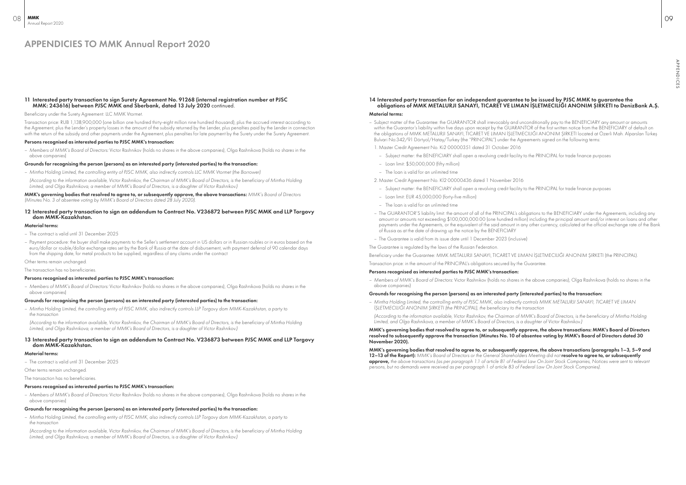#### 11 Interested party transaction to sign Surety Agreement No. 91268 (internal registration number at PJSC MMK: 243616) between PJSC MMK and Sberbank, dated 13 July 2020 continued.

#### Beneficiary under the Surety Agreement: LLC MMK Vtormet.

Transaction price: RUB 1,138,900,000 (one billion one hundred thirty-eight million nine hundred thousand), plus the accrued interest according to the Agreement, plus the Lender's property losses in the amount of the subsidy returned by the Lender, plus penalties paid by the Lender in connection with the return of the subsidy and other payments under the Agreement, plus penalties for late payment by the Surety under the Surety Agreement.

#### Persons recognised as interested parties to PJSC MMK's transaction:

– *Members of MMK's Board of Directors:* Victor Rashnikov (holds no shares in the above companies), Olga Rashnikova (holds no shares in the above companies)

#### Grounds for recognising the person (persons) as an interested party (interested parties) to the transaction:

– *Mintha Holding Limited, the controlling entity of PJSC MMK, also indirectly controls LLC MMK Vtormet (the Borrower)*

*(According to the information available, Victor Rashnikov, the Chairman of MMK's Board of Directors, is the beneficiary of Mintha Holding Limited, and Olga Rashnikova, a member of MMK's Board of Directors, is a daughter of Victor Rashnikov.)*

#### MMK's governing bodies that resolved to agree to, or subsequently approve, the above transactions: *MMK's Board of Directors (Minutes No. 3 of absentee voting by MMK's Board of Directors dated 28 July 2020).*

#### 12 Interested party transaction to sign an addendum to Contract No. V236872 between PJSC MMK and LLP Torgovy dom MMK-Kazakhstan.

#### Material terms:

- The contract is valid until 31 December 2025
- Payment procedure: the buyer shall make payments to the Seller's settlement account in US dollars or in Russian roubles or in euros based on the euro/dollar or rouble/dollar exchange rates set by the Bank of Russia at the date of disbursement, with payment deferral of 90 calendar days from the shipping date, for metal products to be supplied, regardless of any claims under the contract

Other terms remain unchanged.

The transaction has no beneficiaries.

#### Persons recognised as interested parties to PJSC MMK's transaction:

– *Members of MMK's Board of Directors:* Victor Rashnikov (holds no shares in the above companies), Olga Rashnikova (holds no shares in the above companies)

#### Grounds for recognising the person (persons) as an interested party (interested parties) to the transaction:

- *Mintha Holding Limited, the controlling entity of PJSC MMK, also indirectly controls LLP Torgovy dom MMK-Kazakhstan, a party to the transaction*
- *(According to the information available, Victor Rashnikov, the Chairman of MMK's Board of Directors, is the beneficiary of Mintha Holding Limited, and Olga Rashnikova, a member of MMK's Board of Directors, is a daughter of Victor Rashnikov.)*

#### 13 Interested party transaction to sign an addendum to Contract No. V236873 between PJSC MMK and LLP Torgovy dom MMK-Kazakhstan.

#### Material terms:

– The contract is valid until 31 December 2025

Other terms remain unchanged.

The transaction has no beneficiaries.

#### Persons recognised as interested parties to PJSC MMK's transaction:

– *Members of MMK's Board of Directors:* Victor Rashnikov (holds no shares in the above companies), Olga Rashnikova (holds no shares in the above companies)

#### Grounds for recognising the person (persons) as an interested party (interested parties) to the transaction:

– *Mintha Holding Limited, the controlling entity of PJSC MMK, also indirectly controls LLP Torgovy dom MMK-Kazakhstan, a party to the transaction*

*(According to the information available, Victor Rashnikov, the Chairman of MMK's Board of Directors, is the beneficiary of Mintha Holding Limited, and Olga Rashnikova, a member of MMK's Board of Directors, is a daughter of Victor Rashnikov.)*

### 14 Interested party transaction for an independent guarantee to be issued by PJSC MMK to guarantee the obligations of MMK METALURJI SANAYI, TICARET VE LIMAN İŞLETMECILIĞI ANONIM ŞIRKETI to DenizBank A.Ş.

#### Material terms:

- Subject matter of the Guarantee: the GUARANTOR shall irrevocably and unconditionally pay to the BENEFICIARY any amount or amounts within the Guarantor's liability within five days upon receipt by the GUARANTOR of the first written notice from the BENEFICIARY of default on the obligations of MMK METALURJI SANAYI, TICARET VE LIMAN İŞLETMECILIĞI ANONIM ŞIRKETI located at Özerli Mah. Alparslan Türkeş Bulvari No:342/91 Dörtyol/Hatay/Turkey (the "PRINCIPAL") under the Agreements signed on the following terms:
- 1. Master Credit Agreement No. Ki2 00000351 dated 31 October 2016
- Subject matter: the BENEFICIARY shall open a revolving credit facility to the PRINCIPAL for trade finance purposes
- Loan limit: \$50,000,000 (fifty million)
- The loan is valid for an unlimited time
- 2. Master Credit Agreement No. Kİ2 00000436 dated 1 November 2016
	- Subject matter: the BENEFICIARY shall open a revolving credit facility to the PRINCIPAL for trade finance purposes
	- Loan limit: EUR 45,000,000 (forty-five million)
	- The loan is valid for an unlimited time
- The GUARANTOR'S liability limit: the amount of all of the PRINCIPAL's obligations to the BENEFICIARY under the Agreements, including any amount or amounts not exceeding \$100,000,000.00 (one hundred million) including the principal amount and/or interest on loans and other of Russia as at the date of drawing up the notice by the BENEFICIARY
- The Guarantee is valid from its issue date until 1 December 2023 (inclusive)

payments under the Agreements, or the equivalent of the said amount in any other currency, calculated at the official exchange rate of the Bank

The Guarantee is regulated by the laws of the Russian Federation.

Beneficiary under the Guarantee: MMK METALURJI SANAYI, TICARET VE LIMAN İŞLETMECILIĞI ANONIM ŞIRKETI (the PRINCIPAL).

### Transaction price: in the amount of the PRINCIPAL's obligations secured by the Guarantee.

#### Persons recognised as interested parties to PJSC MMK's transaction:

– *Members of MMK's Board of Directors:* Victor Rashnikov (holds no shares in the above companies), Olga Rashnikova (holds no shares in the above companies)

### Grounds for recognising the person (persons) as an interested party (interested parties) to the transaction:

– *Mintha Holding Limited, the controlling entity of PJSC MMK, also indirectly controls MMK METALURJI SANAYI, TICARET VE LIMAN İŞLETMECILIĞI ANONIM ŞIRKETI (the PRINCIPAL), the beneficiary to the transaction*

*(According to the information available, Victor Rashnikov, the Chairman of MMK's Board of Directors, is the beneficiary of Mintha Holding Limited, and Olga Rashnikova, a member of MMK's Board of Directors, is a daughter of Victor Rashnikov.)*

MMK's governing bodies that resolved to agree to, or subsequently approve, the above transactions: MMK's Board of Directors resolved to subsequently approve the transaction (Minutes No. 10 of absentee voting by MMK's Board of Directors dated 30 November 2020).

MMK's governing bodies that resolved to agree to, or subsequently approve, the above transactions (paragraphs 1–3, 5–9 and 12-13 of the Report): *MMK's Board of Directors or the General Shareholders Meeting did not* resolve to agree to, or subsequently approve, *the above transactions (as per paragraph 1.1 of article 81 of Federal Law On Joint Stock Companies, Notices were sent to relevant persons, but no demands were received as per paragraph 1 of article 83 of Federal Law On Joint Stock Companies).*